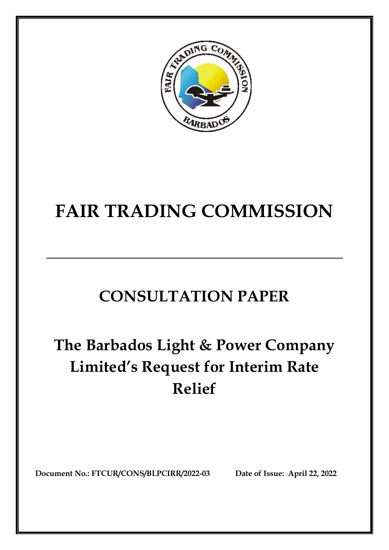

# **FAIR TRADING COMMISSION**

# **CONSULTATION PAPER**

# **The Barbados Light & Power Company Limited's Request for Interim Rate Relief**

**Document No.: FTCUR/CONS/BLPCIRR/2022-03 Date of Issue: April 22, 2022**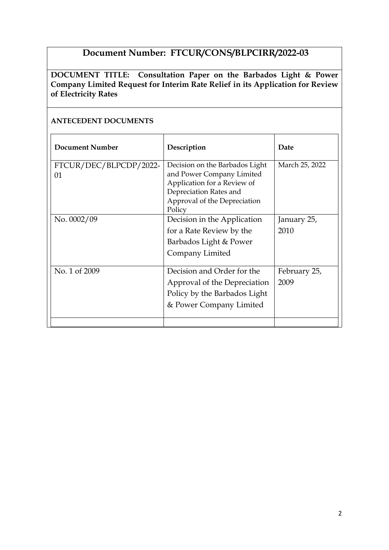# **Document Number: FTCUR/CONS/BLPCIRR/2022-03**

**DOCUMENT TITLE: Consultation Paper on the Barbados Light & Power Company Limited Request for Interim Rate Relief in its Application for Review of Electricity Rates**

#### **Document Number Description Description Date** FTCUR/DEC/BLPCDP/2022- 01 Decision on the Barbados Light and Power Company Limited Application for a Review of Depreciation Rates and Approval of the Depreciation Policy March 25, 2022 No. 0002/09 Decision in the Application for a Rate Review by the Barbados Light & Power Company Limited January 25, 2010 No. 1 of 2009 Decision and Order for the Approval of the Depreciation Policy by the Barbados Light & Power Company Limited February 25, 2009

#### **ANTECEDENT DOCUMENTS**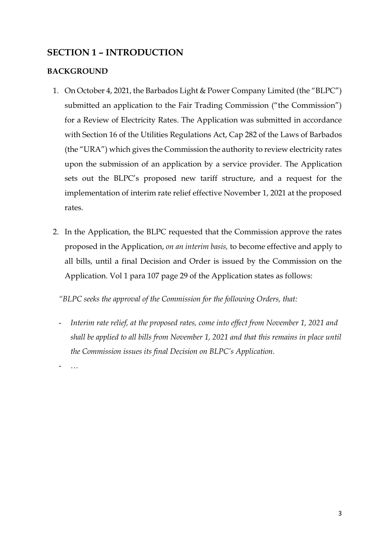# **SECTION 1 – INTRODUCTION**

### **BACKGROUND**

- 1. On October 4, 2021, the Barbados Light & Power Company Limited (the "BLPC") submitted an application to the Fair Trading Commission ("the Commission") for a Review of Electricity Rates. The Application was submitted in accordance with Section 16 of the Utilities Regulations Act, Cap 282 of the Laws of Barbados (the "URA") which gives the Commission the authority to review electricity rates upon the submission of an application by a service provider. The Application sets out the BLPC's proposed new tariff structure, and a request for the implementation of interim rate relief effective November 1, 2021 at the proposed rates.
- 2. In the Application, the BLPC requested that the Commission approve the rates proposed in the Application, *on an interim basis,* to become effective and apply to all bills, until a final Decision and Order is issued by the Commission on the Application. Vol 1 para 107 page 29 of the Application states as follows:

*"BLPC seeks the approval of the Commission for the following Orders, that:* 

- *Interim rate relief, at the proposed rates, come into effect from November 1, 2021 and shall be applied to all bills from November 1, 2021 and that this remains in place until the Commission issues its final Decision on BLPC's Application.*

- *…*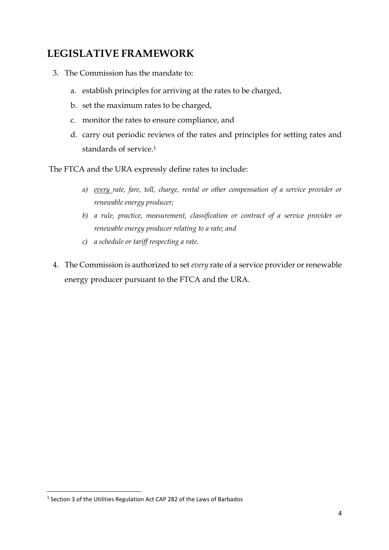# **LEGISLATIVE FRAMEWORK**

- 3. The Commission has the mandate to:
	- a. establish principles for arriving at the rates to be charged,
	- b. set the maximum rates to be charged,
	- c. monitor the rates to ensure compliance, and
	- d. carry out periodic reviews of the rates and principles for setting rates and standards of service.<sup>1</sup>

The FTCA and the URA expressly define rates to include:

- *a) every rate, fare, toll, charge, rental or other compensation of a service provider or renewable energy producer;*
- *b) a rule, practice, measurement, classification or contract of a service provider or renewable energy producer relating to a rate; and*
- *c) a schedule or tariff respecting a rate.*
- 4. The Commission is authorized to set *every* rate of a service provider or renewable energy producer pursuant to the FTCA and the URA.

**.** 

<sup>&</sup>lt;sup>1</sup> Section 3 of the Utilities Regulation Act CAP 282 of the Laws of Barbados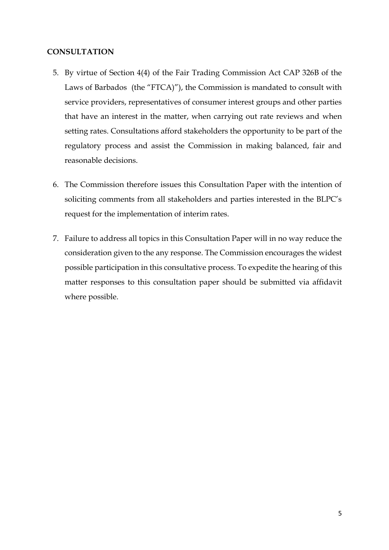#### **CONSULTATION**

- 5. By virtue of Section 4(4) of the Fair Trading Commission Act CAP 326B of the Laws of Barbados (the "FTCA)"), the Commission is mandated to consult with service providers, representatives of consumer interest groups and other parties that have an interest in the matter, when carrying out rate reviews and when setting rates. Consultations afford stakeholders the opportunity to be part of the regulatory process and assist the Commission in making balanced, fair and reasonable decisions.
- 6. The Commission therefore issues this Consultation Paper with the intention of soliciting comments from all stakeholders and parties interested in the BLPC's request for the implementation of interim rates.
- 7. Failure to address all topics in this Consultation Paper will in no way reduce the consideration given to the any response. The Commission encourages the widest possible participation in this consultative process. To expedite the hearing of this matter responses to this consultation paper should be submitted via affidavit where possible.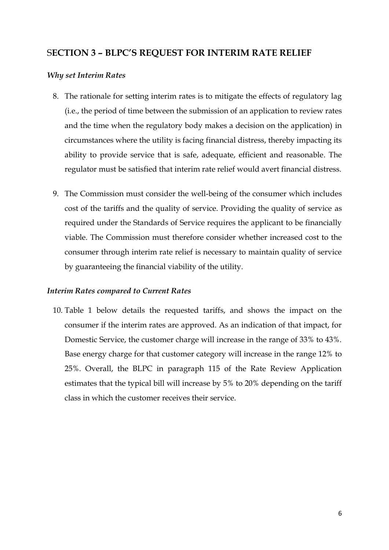### S**ECTION 3 – BLPC'S REQUEST FOR INTERIM RATE RELIEF**

#### *Why set Interim Rates*

- 8. The rationale for setting interim rates is to mitigate the effects of regulatory lag (i.e., the period of time between the submission of an application to review rates and the time when the regulatory body makes a decision on the application) in circumstances where the utility is facing financial distress, thereby impacting its ability to provide service that is safe, adequate, efficient and reasonable. The regulator must be satisfied that interim rate relief would avert financial distress.
- 9. The Commission must consider the well-being of the consumer which includes cost of the tariffs and the quality of service. Providing the quality of service as required under the Standards of Service requires the applicant to be financially viable. The Commission must therefore consider whether increased cost to the consumer through interim rate relief is necessary to maintain quality of service by guaranteeing the financial viability of the utility.

#### *Interim Rates compared to Current Rates*

10. Table 1 below details the requested tariffs, and shows the impact on the consumer if the interim rates are approved. As an indication of that impact, for Domestic Service, the customer charge will increase in the range of 33% to 43%. Base energy charge for that customer category will increase in the range 12% to 25%. Overall, the BLPC in paragraph 115 of the Rate Review Application estimates that the typical bill will increase by 5% to 20% depending on the tariff class in which the customer receives their service.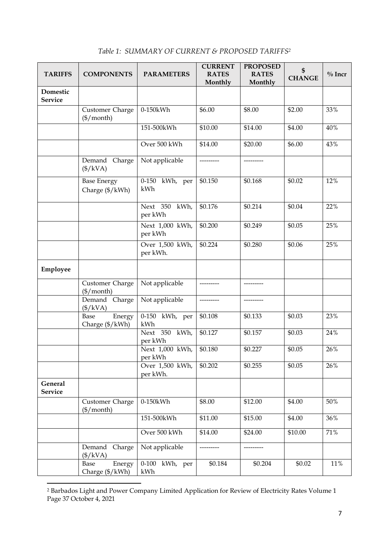| <b>TARIFFS</b>             | <b>COMPONENTS</b>                                 | <b>PARAMETERS</b>           | <b>CURRENT</b><br><b>RATES</b><br>Monthly | <b>PROPOSED</b><br><b>RATES</b><br>Monthly | \$<br><b>CHANGE</b> | $\%$ Incr |
|----------------------------|---------------------------------------------------|-----------------------------|-------------------------------------------|--------------------------------------------|---------------------|-----------|
| Domestic<br><b>Service</b> |                                                   |                             |                                           |                                            |                     |           |
|                            | Customer Charge<br>$(\frac{\sqrt{2}}{2})$ month)  | 0-150kWh                    | \$6.00                                    | \$8.00                                     | \$2.00              | 33%       |
|                            |                                                   | 151-500kWh                  | \$10.00                                   | \$14.00                                    | \$4.00              | 40%       |
|                            |                                                   | Over 500 kWh                | \$14.00                                   | \$20.00                                    | \$6.00              | 43%       |
|                            | Demand<br>Charge<br>$(\frac{1}{8}$ /kVA)          | Not applicable              |                                           | ---------                                  |                     |           |
|                            | <b>Base Energy</b><br>Charge (\$/kWh)             | 0-150 kWh, per<br>kWh       | \$0.150                                   | \$0.168                                    | \$0.02              | 12%       |
|                            |                                                   | Next 350 kWh,<br>per kWh    | \$0.176                                   | \$0.214                                    | \$0.04              | 22%       |
|                            |                                                   | Next 1,000 kWh,<br>per kWh  | \$0.200                                   | \$0.249                                    | \$0.05              | 25%       |
|                            |                                                   | Over 1,500 kWh,<br>per kWh. | \$0.224                                   | \$0.280                                    | \$0.06              | 25%       |
| Employee                   |                                                   |                             |                                           |                                            |                     |           |
|                            | Customer Charge<br>$(\frac{\sqrt{2}}{2})$         | Not applicable              | ---------                                 | ---------                                  |                     |           |
|                            | Demand Charge<br>$(\frac{1}{8}$ /kVA)             | Not applicable              |                                           |                                            |                     |           |
|                            | Energy<br>Base<br>Charge (\$/kWh)                 | 0-150 kWh, per<br>kWh       | \$0.108                                   | \$0.133                                    | \$0.03              | 23%       |
|                            |                                                   | Next 350 kWh,<br>per kWh    | \$0.127                                   | \$0.157                                    | \$0.03              | 24%       |
|                            |                                                   | Next 1,000 kWh,<br>per kWh  | \$0.180                                   | \$0.227                                    | \$0.05              | 26%       |
|                            |                                                   | Over 1,500 kWh,<br>per kWh. | \$0.202                                   | \$0.255                                    | \$0.05              | 26%       |
| General<br><b>Service</b>  |                                                   |                             |                                           |                                            |                     |           |
|                            | Customer Charge<br>$(\frac{4}{2} / \text{month})$ | 0-150kWh                    | \$8.00                                    | \$12.00                                    | \$4.00              | 50%       |
|                            |                                                   | 151-500kWh                  | \$11.00                                   | \$15.00                                    | \$4.00              | 36%       |
|                            |                                                   | Over 500 kWh                | \$14.00                                   | \$24.00                                    | \$10.00             | 71%       |
|                            | Demand<br>Charge<br>$(\frac{1}{8} / kVA)$         | Not applicable              |                                           |                                            |                     |           |
|                            | Base<br>Energy<br>Charge (\$/kWh)                 | 0-100 kWh, per<br>kWh       | \$0.184                                   | \$0.204                                    | \$0.02              | 11%       |

### *Table 1: SUMMARY OF CURRENT & PROPOSED TARIFFS<sup>2</sup>*

 $\overline{a}$ 

<sup>2</sup> Barbados Light and Power Company Limited Application for Review of Electricity Rates Volume 1 Page 37 October 4, 2021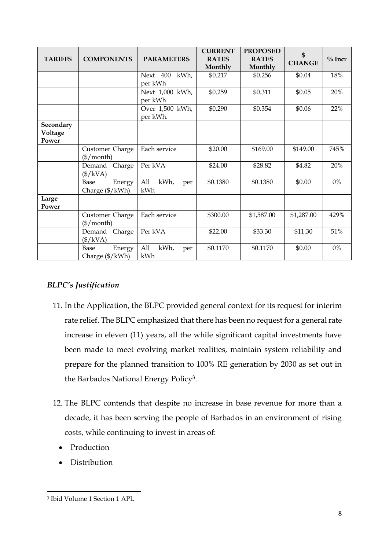| <b>TARIFFS</b>                | <b>COMPONENTS</b>                                    | <b>PARAMETERS</b>           | <b>CURRENT</b><br><b>RATES</b><br>Monthly | <b>PROPOSED</b><br><b>RATES</b><br>Monthly | \$<br><b>CHANGE</b> | $\%$ Incr |
|-------------------------------|------------------------------------------------------|-----------------------------|-------------------------------------------|--------------------------------------------|---------------------|-----------|
|                               |                                                      | kWh,<br>Next 400<br>per kWh | \$0.217                                   | \$0.256                                    | \$0.04              | 18%       |
|                               |                                                      | Next 1,000 kWh,<br>per kWh  | \$0.259                                   | \$0.311                                    | \$0.05              | 20%       |
|                               |                                                      | Over 1,500 kWh,<br>per kWh. | \$0.290                                   | \$0.354                                    | \$0.06              | 22%       |
| Secondary<br>Voltage<br>Power |                                                      |                             |                                           |                                            |                     |           |
|                               | Customer Charge<br>$(\frac{1}{2} / \text{month})$    | Each service                | \$20.00                                   | \$169.00                                   | \$149.00            | 745%      |
|                               | Demand<br>Charge<br>$(\frac{4}{\text{V}}\text{kVA})$ | Per kVA                     | \$24.00                                   | \$28.82                                    | \$4.82              | 20%       |
|                               | Base<br>Energy<br>Charge (\$/kWh)                    | All<br>kWh,<br>per<br>kWh   | \$0.1380                                  | \$0.1380                                   | \$0.00              | $0\%$     |
| Large<br>Power                |                                                      |                             |                                           |                                            |                     |           |
|                               | Customer Charge<br>$(\$/month)$                      | Each service                | \$300.00                                  | \$1,587.00                                 | \$1,287.00          | 429%      |
|                               | Demand<br>Charge<br>$(\frac{4}{\text{V}}\text{kVA})$ | Per kVA                     | \$22.00                                   | \$33.30                                    | \$11.30             | 51%       |
|                               | Base<br>Energy<br>Charge (\$/kWh)                    | All<br>kWh,<br>per<br>kWh   | \$0.1170                                  | \$0.1170                                   | \$0.00              | $0\%$     |

### *BLPC's Justification*

- 11. In the Application, the BLPC provided general context for its request for interim rate relief. The BLPC emphasized that there has been no request for a general rate increase in eleven (11) years, all the while significant capital investments have been made to meet evolving market realities, maintain system reliability and prepare for the planned transition to 100% RE generation by 2030 as set out in the Barbados National Energy Policy3.
- 12. The BLPC contends that despite no increase in base revenue for more than a decade, it has been serving the people of Barbados in an environment of rising costs, while continuing to invest in areas of:
	- Production
	- Distribution

<sup>1</sup> 3 Ibid Volume 1 Section 1 APL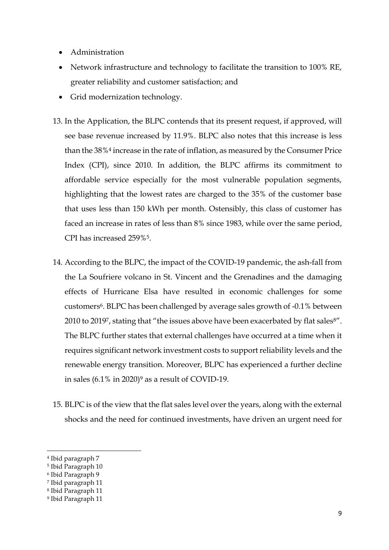- Administration
- Network infrastructure and technology to facilitate the transition to 100% RE, greater reliability and customer satisfaction; and
- Grid modernization technology.
- 13. In the Application, the BLPC contends that its present request, if approved, will see base revenue increased by 11.9%. BLPC also notes that this increase is less than the 38%<sup>4</sup> increase in the rate of inflation, as measured by the Consumer Price Index (CPI), since 2010. In addition, the BLPC affirms its commitment to affordable service especially for the most vulnerable population segments, highlighting that the lowest rates are charged to the 35% of the customer base that uses less than 150 kWh per month. Ostensibly, this class of customer has faced an increase in rates of less than 8% since 1983, while over the same period, CPI has increased 259%5.
- 14. According to the BLPC, the impact of the COVID-19 pandemic, the ash-fall from the La Soufriere volcano in St. Vincent and the Grenadines and the damaging effects of Hurricane Elsa have resulted in economic challenges for some customers<sup>6</sup>. BLPC has been challenged by average sales growth of -0.1% between 2010 to 2019<sup>7</sup>, stating that "the issues above have been exacerbated by flat sales<sup>8"</sup>. The BLPC further states that external challenges have occurred at a time when it requires significant network investment costs to support reliability levels and the renewable energy transition. Moreover, BLPC has experienced a further decline in sales  $(6.1\% \text{ in } 2020)^9$  as a result of COVID-19.
- 15. BLPC is of the view that the flat sales level over the years, along with the external shocks and the need for continued investments, have driven an urgent need for

**.** 

<sup>4</sup> Ibid paragraph 7

<sup>5</sup> Ibid Paragraph 10

<sup>6</sup> Ibid Paragraph 9

<sup>7</sup> Ibid paragraph 11

<sup>8</sup> Ibid Paragraph 11

<sup>9</sup> Ibid Paragraph 11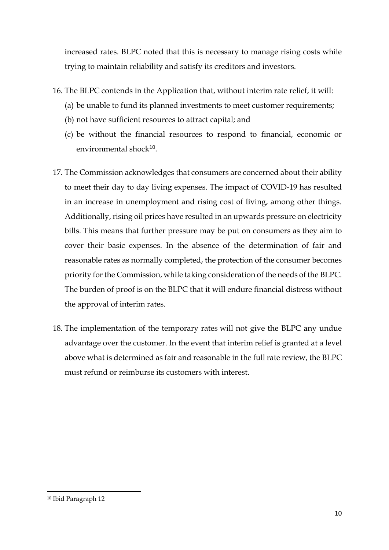increased rates. BLPC noted that this is necessary to manage rising costs while trying to maintain reliability and satisfy its creditors and investors.

- 16. The BLPC contends in the Application that, without interim rate relief, it will:
	- (a) be unable to fund its planned investments to meet customer requirements;
	- (b) not have sufficient resources to attract capital; and
	- (c) be without the financial resources to respond to financial, economic or environmental shock<sup>10</sup>.
- 17. The Commission acknowledges that consumers are concerned about their ability to meet their day to day living expenses. The impact of COVID-19 has resulted in an increase in unemployment and rising cost of living, among other things. Additionally, rising oil prices have resulted in an upwards pressure on electricity bills. This means that further pressure may be put on consumers as they aim to cover their basic expenses. In the absence of the determination of fair and reasonable rates as normally completed, the protection of the consumer becomes priority for the Commission, while taking consideration of the needs of the BLPC. The burden of proof is on the BLPC that it will endure financial distress without the approval of interim rates.
- 18. The implementation of the temporary rates will not give the BLPC any undue advantage over the customer. In the event that interim relief is granted at a level above what is determined as fair and reasonable in the full rate review, the BLPC must refund or reimburse its customers with interest.

<sup>1</sup> <sup>10</sup> Ibid Paragraph 12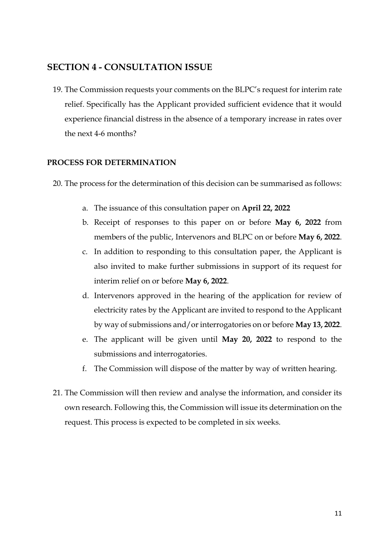# **SECTION 4 - CONSULTATION ISSUE**

19. The Commission requests your comments on the BLPC's request for interim rate relief. Specifically has the Applicant provided sufficient evidence that it would experience financial distress in the absence of a temporary increase in rates over the next 4-6 months?

#### **PROCESS FOR DETERMINATION**

20. The process for the determination of this decision can be summarised as follows:

- a. The issuance of this consultation paper on **April 22, 2022**
- b. Receipt of responses to this paper on or before **May 6, 2022** from members of the public, Intervenors and BLPC on or before **May 6, 2022**.
- c. In addition to responding to this consultation paper, the Applicant is also invited to make further submissions in support of its request for interim relief on or before **May 6, 2022**.
- d. Intervenors approved in the hearing of the application for review of electricity rates by the Applicant are invited to respond to the Applicant by way of submissions and/or interrogatories on or before **May 13, 2022**.
- e. The applicant will be given until **May 20, 2022** to respond to the submissions and interrogatories.
- f. The Commission will dispose of the matter by way of written hearing.
- 21. The Commission will then review and analyse the information, and consider its own research. Following this, the Commission will issue its determination on the request. This process is expected to be completed in six weeks.